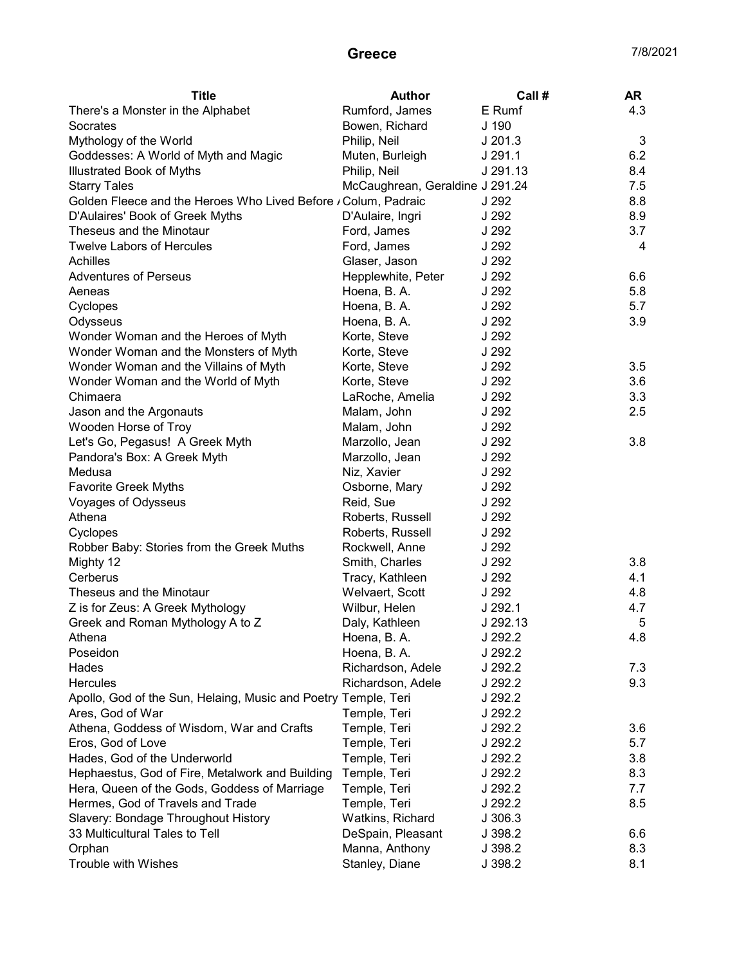## Greece 7/8/2021

| <b>Title</b>                                                   | Author                          | Call#     | <b>AR</b> |
|----------------------------------------------------------------|---------------------------------|-----------|-----------|
| There's a Monster in the Alphabet                              | Rumford, James                  | E Rumf    | 4.3       |
| Socrates                                                       | Bowen, Richard                  | J 190     |           |
| Mythology of the World                                         | Philip, Neil                    | $J$ 201.3 | 3         |
| Goddesses: A World of Myth and Magic                           | Muten, Burleigh                 | J 291.1   | 6.2       |
| <b>Illustrated Book of Myths</b>                               | Philip, Neil                    | J 291.13  | 8.4       |
| <b>Starry Tales</b>                                            | McCaughrean, Geraldine J 291.24 |           | 7.5       |
| Golden Fleece and the Heroes Who Lived Before / Colum, Padraic |                                 | J 292     | 8.8       |
| D'Aulaires' Book of Greek Myths                                | D'Aulaire, Ingri                | J 292     | 8.9       |
| Theseus and the Minotaur                                       | Ford, James                     | J 292     | 3.7       |
| <b>Twelve Labors of Hercules</b>                               | Ford, James                     | J 292     | 4         |
| Achilles                                                       | Glaser, Jason                   | J 292     |           |
| <b>Adventures of Perseus</b>                                   | Hepplewhite, Peter              | J 292     | 6.6       |
| Aeneas                                                         | Hoena, B. A.                    | J 292     | 5.8       |
| Cyclopes                                                       | Hoena, B. A.                    | J 292     | 5.7       |
| Odysseus                                                       | Hoena, B. A.                    | J 292     | 3.9       |
| Wonder Woman and the Heroes of Myth                            | Korte, Steve                    | J 292     |           |
| Wonder Woman and the Monsters of Myth                          | Korte, Steve                    | J 292     |           |
| Wonder Woman and the Villains of Myth                          | Korte, Steve                    | J 292     | 3.5       |
| Wonder Woman and the World of Myth                             | Korte, Steve                    | J 292     | 3.6       |
| Chimaera                                                       | LaRoche, Amelia                 | J 292     | 3.3       |
| Jason and the Argonauts                                        | Malam, John                     | J 292     | 2.5       |
| Wooden Horse of Troy                                           | Malam, John                     | J 292     |           |
| Let's Go, Pegasus! A Greek Myth                                | Marzollo, Jean                  | J 292     | 3.8       |
| Pandora's Box: A Greek Myth                                    | Marzollo, Jean                  | J 292     |           |
| Medusa                                                         | Niz, Xavier                     | J 292     |           |
| Favorite Greek Myths                                           | Osborne, Mary                   | J 292     |           |
| Voyages of Odysseus                                            | Reid, Sue                       | J 292     |           |
| Athena                                                         | Roberts, Russell                | J 292     |           |
| Cyclopes                                                       | Roberts, Russell                | J 292     |           |
| Robber Baby: Stories from the Greek Muths                      | Rockwell, Anne                  | J 292     |           |
| Mighty 12                                                      | Smith, Charles                  | J 292     | 3.8       |
| Cerberus                                                       | Tracy, Kathleen                 | J 292     | 4.1       |
| Theseus and the Minotaur                                       | Welvaert, Scott                 | J 292     | 4.8       |
| Z is for Zeus: A Greek Mythology                               | Wilbur, Helen                   | J 292.1   | 4.7       |
| Greek and Roman Mythology A to Z                               | Daly, Kathleen                  | J 292.13  | 5         |
| Athena                                                         | Hoena, B. A.                    | J 292.2   | 4.8       |
| Poseidon                                                       | Hoena, B. A.                    | J 292.2   |           |
| Hades                                                          | Richardson, Adele               | J 292.2   | 7.3       |
| <b>Hercules</b>                                                | Richardson, Adele               | J 292.2   | 9.3       |
| Apollo, God of the Sun, Helaing, Music and Poetry Temple, Teri |                                 | J 292.2   |           |
| Ares, God of War                                               | Temple, Teri                    | J 292.2   |           |
| Athena, Goddess of Wisdom, War and Crafts                      | Temple, Teri                    | J 292.2   | 3.6       |
| Eros, God of Love                                              | Temple, Teri                    | J 292.2   | 5.7       |
| Hades, God of the Underworld                                   | Temple, Teri                    | J 292.2   | 3.8       |
| Hephaestus, God of Fire, Metalwork and Building                | Temple, Teri                    | J 292.2   | 8.3       |
| Hera, Queen of the Gods, Goddess of Marriage                   | Temple, Teri                    | J 292.2   | 7.7       |
| Hermes, God of Travels and Trade                               | Temple, Teri                    | J 292.2   | 8.5       |
| Slavery: Bondage Throughout History                            | Watkins, Richard                | J 306.3   |           |
| 33 Multicultural Tales to Tell                                 | DeSpain, Pleasant               | J 398.2   | 6.6       |
| Orphan                                                         | Manna, Anthony                  | J 398.2   | 8.3       |
| Trouble with Wishes                                            | Stanley, Diane                  | J 398.2   | 8.1       |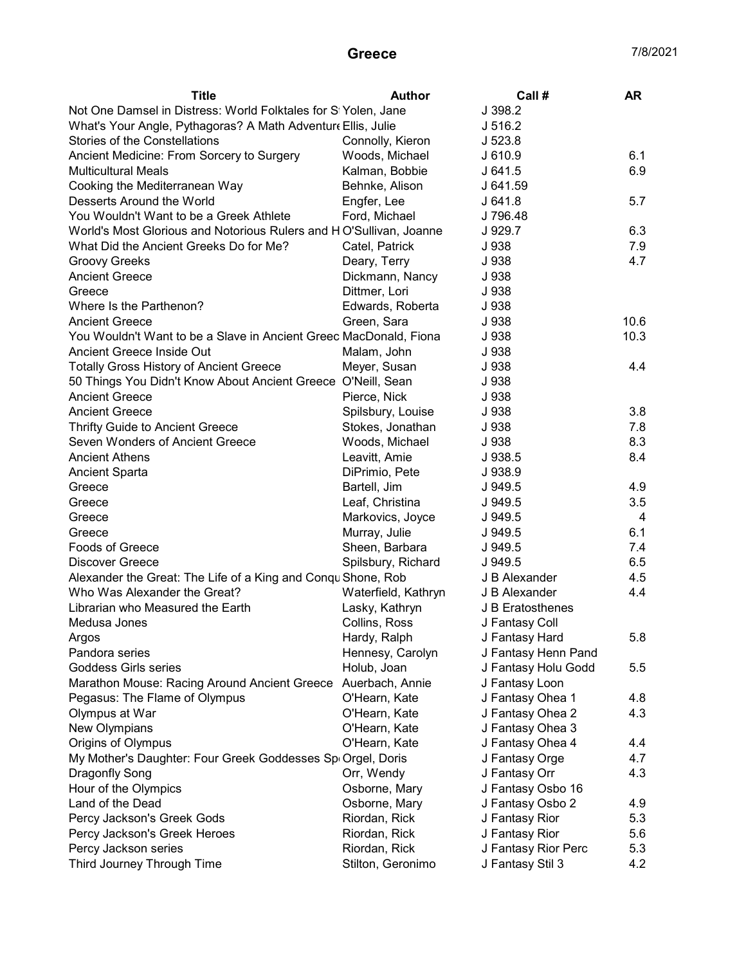## Greece 7/8/2021

| Not One Damsel in Distress: World Folktales for SI Yolen, Jane<br>J 398.2<br>J 516.2<br>What's Your Angle, Pythagoras? A Math Adventure Ellis, Julie<br>Stories of the Constellations<br>J 523.8<br>Connolly, Kieron<br>6.1<br>Ancient Medicine: From Sorcery to Surgery<br>Woods, Michael<br>J 610.9<br>6.9<br><b>Multicultural Meals</b><br>Kalman, Bobbie<br>J641.5<br>Cooking the Mediterranean Way<br>Behnke, Alison<br>J 641.59<br>Desserts Around the World<br>Engfer, Lee<br>J641.8<br>5.7<br>You Wouldn't Want to be a Greek Athlete<br>Ford, Michael<br>J 796.48<br>World's Most Glorious and Notorious Rulers and HO'Sullivan, Joanne<br>J 929.7<br>6.3<br>What Did the Ancient Greeks Do for Me?<br>J 938<br>7.9<br>Catel, Patrick<br>4.7<br><b>Groovy Greeks</b><br>Deary, Terry<br>J 938<br><b>Ancient Greece</b><br>Dickmann, Nancy<br>J 938<br>J 938<br>Greece<br>Dittmer, Lori<br>Where Is the Parthenon?<br>Edwards, Roberta<br>J 938<br>10.6<br>Green, Sara<br>J 938<br><b>Ancient Greece</b><br>10.3<br>You Wouldn't Want to be a Slave in Ancient Greec MacDonald, Fiona<br>J 938<br>Ancient Greece Inside Out<br>Malam, John<br>J 938<br><b>Totally Gross History of Ancient Greece</b><br>J 938<br>4.4<br>Meyer, Susan<br>50 Things You Didn't Know About Ancient Greece O'Neill, Sean<br>J 938<br><b>Ancient Greece</b><br>Pierce, Nick<br>J 938<br><b>Ancient Greece</b><br>3.8<br>Spilsbury, Louise<br>J 938<br><b>Thrifty Guide to Ancient Greece</b><br>Stokes, Jonathan<br>J 938<br>7.8<br>8.3<br>Seven Wonders of Ancient Greece<br>J 938<br>Woods, Michael<br><b>Ancient Athens</b><br>Leavitt, Amie<br>J 938.5<br>8.4<br><b>Ancient Sparta</b><br>DiPrimio, Pete<br>J 938.9<br>J 949.5<br>4.9<br>Greece<br>Bartell, Jim<br>3.5<br>Greece<br>Leaf, Christina<br>J 949.5<br>4<br>Greece<br>Markovics, Joyce<br>J 949.5<br>Murray, Julie<br>6.1<br>Greece<br>J 949.5<br><b>Foods of Greece</b><br>Sheen, Barbara<br>7.4<br>J 949.5<br>6.5<br><b>Discover Greece</b><br>Spilsbury, Richard<br>J 949.5<br>Alexander the Great: The Life of a King and Conqu Shone, Rob<br>J B Alexander<br>4.5<br>4.4<br>Who Was Alexander the Great?<br>J B Alexander<br>Waterfield, Kathryn<br>Librarian who Measured the Earth<br>Lasky, Kathryn<br>J B Eratosthenes<br>Collins, Ross<br>Medusa Jones<br>J Fantasy Coll<br>5.8<br>Argos<br>Hardy, Ralph<br>J Fantasy Hard<br>Pandora series<br>Hennesy, Carolyn<br>J Fantasy Henn Pand<br><b>Goddess Girls series</b><br>J Fantasy Holu Godd<br>Holub, Joan<br>5.5<br>Marathon Mouse: Racing Around Ancient Greece<br>Auerbach, Annie<br>J Fantasy Loon<br>Pegasus: The Flame of Olympus<br>O'Hearn, Kate<br>J Fantasy Ohea 1<br>4.8<br>Olympus at War<br>J Fantasy Ohea 2<br>4.3<br>O'Hearn, Kate<br>New Olympians<br>J Fantasy Ohea 3<br>O'Hearn, Kate<br>Origins of Olympus<br>O'Hearn, Kate<br>J Fantasy Ohea 4<br>4.4<br>My Mother's Daughter: Four Greek Goddesses Sp Orgel, Doris<br>J Fantasy Orge<br>4.7<br>4.3<br>Dragonfly Song<br>Orr, Wendy<br>J Fantasy Orr<br>Hour of the Olympics<br>Osborne, Mary<br>J Fantasy Osbo 16<br>Land of the Dead<br>J Fantasy Osbo 2<br>Osborne, Mary<br>4.9<br>Percy Jackson's Greek Gods<br>Riordan, Rick<br>J Fantasy Rior<br>5.3<br>Riordan, Rick<br>J Fantasy Rior<br>Percy Jackson's Greek Heroes<br>5.6<br>Percy Jackson series<br>Riordan, Rick<br>J Fantasy Rior Perc<br>5.3<br>4.2 | <b>Title</b>               | <b>Author</b>     | Call #           | AR |
|-------------------------------------------------------------------------------------------------------------------------------------------------------------------------------------------------------------------------------------------------------------------------------------------------------------------------------------------------------------------------------------------------------------------------------------------------------------------------------------------------------------------------------------------------------------------------------------------------------------------------------------------------------------------------------------------------------------------------------------------------------------------------------------------------------------------------------------------------------------------------------------------------------------------------------------------------------------------------------------------------------------------------------------------------------------------------------------------------------------------------------------------------------------------------------------------------------------------------------------------------------------------------------------------------------------------------------------------------------------------------------------------------------------------------------------------------------------------------------------------------------------------------------------------------------------------------------------------------------------------------------------------------------------------------------------------------------------------------------------------------------------------------------------------------------------------------------------------------------------------------------------------------------------------------------------------------------------------------------------------------------------------------------------------------------------------------------------------------------------------------------------------------------------------------------------------------------------------------------------------------------------------------------------------------------------------------------------------------------------------------------------------------------------------------------------------------------------------------------------------------------------------------------------------------------------------------------------------------------------------------------------------------------------------------------------------------------------------------------------------------------------------------------------------------------------------------------------------------------------------------------------------------------------------------------------------------------------------------------------------------------------------------------------------------------------------------------------------------------------------------------------------------------------------------------------------------------------------------------------------------------------------------------------------------------------------------------------------------------------------------------------------------------|----------------------------|-------------------|------------------|----|
|                                                                                                                                                                                                                                                                                                                                                                                                                                                                                                                                                                                                                                                                                                                                                                                                                                                                                                                                                                                                                                                                                                                                                                                                                                                                                                                                                                                                                                                                                                                                                                                                                                                                                                                                                                                                                                                                                                                                                                                                                                                                                                                                                                                                                                                                                                                                                                                                                                                                                                                                                                                                                                                                                                                                                                                                                                                                                                                                                                                                                                                                                                                                                                                                                                                                                                                                                                                                       |                            |                   |                  |    |
|                                                                                                                                                                                                                                                                                                                                                                                                                                                                                                                                                                                                                                                                                                                                                                                                                                                                                                                                                                                                                                                                                                                                                                                                                                                                                                                                                                                                                                                                                                                                                                                                                                                                                                                                                                                                                                                                                                                                                                                                                                                                                                                                                                                                                                                                                                                                                                                                                                                                                                                                                                                                                                                                                                                                                                                                                                                                                                                                                                                                                                                                                                                                                                                                                                                                                                                                                                                                       |                            |                   |                  |    |
|                                                                                                                                                                                                                                                                                                                                                                                                                                                                                                                                                                                                                                                                                                                                                                                                                                                                                                                                                                                                                                                                                                                                                                                                                                                                                                                                                                                                                                                                                                                                                                                                                                                                                                                                                                                                                                                                                                                                                                                                                                                                                                                                                                                                                                                                                                                                                                                                                                                                                                                                                                                                                                                                                                                                                                                                                                                                                                                                                                                                                                                                                                                                                                                                                                                                                                                                                                                                       |                            |                   |                  |    |
|                                                                                                                                                                                                                                                                                                                                                                                                                                                                                                                                                                                                                                                                                                                                                                                                                                                                                                                                                                                                                                                                                                                                                                                                                                                                                                                                                                                                                                                                                                                                                                                                                                                                                                                                                                                                                                                                                                                                                                                                                                                                                                                                                                                                                                                                                                                                                                                                                                                                                                                                                                                                                                                                                                                                                                                                                                                                                                                                                                                                                                                                                                                                                                                                                                                                                                                                                                                                       |                            |                   |                  |    |
|                                                                                                                                                                                                                                                                                                                                                                                                                                                                                                                                                                                                                                                                                                                                                                                                                                                                                                                                                                                                                                                                                                                                                                                                                                                                                                                                                                                                                                                                                                                                                                                                                                                                                                                                                                                                                                                                                                                                                                                                                                                                                                                                                                                                                                                                                                                                                                                                                                                                                                                                                                                                                                                                                                                                                                                                                                                                                                                                                                                                                                                                                                                                                                                                                                                                                                                                                                                                       |                            |                   |                  |    |
|                                                                                                                                                                                                                                                                                                                                                                                                                                                                                                                                                                                                                                                                                                                                                                                                                                                                                                                                                                                                                                                                                                                                                                                                                                                                                                                                                                                                                                                                                                                                                                                                                                                                                                                                                                                                                                                                                                                                                                                                                                                                                                                                                                                                                                                                                                                                                                                                                                                                                                                                                                                                                                                                                                                                                                                                                                                                                                                                                                                                                                                                                                                                                                                                                                                                                                                                                                                                       |                            |                   |                  |    |
|                                                                                                                                                                                                                                                                                                                                                                                                                                                                                                                                                                                                                                                                                                                                                                                                                                                                                                                                                                                                                                                                                                                                                                                                                                                                                                                                                                                                                                                                                                                                                                                                                                                                                                                                                                                                                                                                                                                                                                                                                                                                                                                                                                                                                                                                                                                                                                                                                                                                                                                                                                                                                                                                                                                                                                                                                                                                                                                                                                                                                                                                                                                                                                                                                                                                                                                                                                                                       |                            |                   |                  |    |
|                                                                                                                                                                                                                                                                                                                                                                                                                                                                                                                                                                                                                                                                                                                                                                                                                                                                                                                                                                                                                                                                                                                                                                                                                                                                                                                                                                                                                                                                                                                                                                                                                                                                                                                                                                                                                                                                                                                                                                                                                                                                                                                                                                                                                                                                                                                                                                                                                                                                                                                                                                                                                                                                                                                                                                                                                                                                                                                                                                                                                                                                                                                                                                                                                                                                                                                                                                                                       |                            |                   |                  |    |
|                                                                                                                                                                                                                                                                                                                                                                                                                                                                                                                                                                                                                                                                                                                                                                                                                                                                                                                                                                                                                                                                                                                                                                                                                                                                                                                                                                                                                                                                                                                                                                                                                                                                                                                                                                                                                                                                                                                                                                                                                                                                                                                                                                                                                                                                                                                                                                                                                                                                                                                                                                                                                                                                                                                                                                                                                                                                                                                                                                                                                                                                                                                                                                                                                                                                                                                                                                                                       |                            |                   |                  |    |
|                                                                                                                                                                                                                                                                                                                                                                                                                                                                                                                                                                                                                                                                                                                                                                                                                                                                                                                                                                                                                                                                                                                                                                                                                                                                                                                                                                                                                                                                                                                                                                                                                                                                                                                                                                                                                                                                                                                                                                                                                                                                                                                                                                                                                                                                                                                                                                                                                                                                                                                                                                                                                                                                                                                                                                                                                                                                                                                                                                                                                                                                                                                                                                                                                                                                                                                                                                                                       |                            |                   |                  |    |
|                                                                                                                                                                                                                                                                                                                                                                                                                                                                                                                                                                                                                                                                                                                                                                                                                                                                                                                                                                                                                                                                                                                                                                                                                                                                                                                                                                                                                                                                                                                                                                                                                                                                                                                                                                                                                                                                                                                                                                                                                                                                                                                                                                                                                                                                                                                                                                                                                                                                                                                                                                                                                                                                                                                                                                                                                                                                                                                                                                                                                                                                                                                                                                                                                                                                                                                                                                                                       |                            |                   |                  |    |
|                                                                                                                                                                                                                                                                                                                                                                                                                                                                                                                                                                                                                                                                                                                                                                                                                                                                                                                                                                                                                                                                                                                                                                                                                                                                                                                                                                                                                                                                                                                                                                                                                                                                                                                                                                                                                                                                                                                                                                                                                                                                                                                                                                                                                                                                                                                                                                                                                                                                                                                                                                                                                                                                                                                                                                                                                                                                                                                                                                                                                                                                                                                                                                                                                                                                                                                                                                                                       |                            |                   |                  |    |
|                                                                                                                                                                                                                                                                                                                                                                                                                                                                                                                                                                                                                                                                                                                                                                                                                                                                                                                                                                                                                                                                                                                                                                                                                                                                                                                                                                                                                                                                                                                                                                                                                                                                                                                                                                                                                                                                                                                                                                                                                                                                                                                                                                                                                                                                                                                                                                                                                                                                                                                                                                                                                                                                                                                                                                                                                                                                                                                                                                                                                                                                                                                                                                                                                                                                                                                                                                                                       |                            |                   |                  |    |
|                                                                                                                                                                                                                                                                                                                                                                                                                                                                                                                                                                                                                                                                                                                                                                                                                                                                                                                                                                                                                                                                                                                                                                                                                                                                                                                                                                                                                                                                                                                                                                                                                                                                                                                                                                                                                                                                                                                                                                                                                                                                                                                                                                                                                                                                                                                                                                                                                                                                                                                                                                                                                                                                                                                                                                                                                                                                                                                                                                                                                                                                                                                                                                                                                                                                                                                                                                                                       |                            |                   |                  |    |
|                                                                                                                                                                                                                                                                                                                                                                                                                                                                                                                                                                                                                                                                                                                                                                                                                                                                                                                                                                                                                                                                                                                                                                                                                                                                                                                                                                                                                                                                                                                                                                                                                                                                                                                                                                                                                                                                                                                                                                                                                                                                                                                                                                                                                                                                                                                                                                                                                                                                                                                                                                                                                                                                                                                                                                                                                                                                                                                                                                                                                                                                                                                                                                                                                                                                                                                                                                                                       |                            |                   |                  |    |
|                                                                                                                                                                                                                                                                                                                                                                                                                                                                                                                                                                                                                                                                                                                                                                                                                                                                                                                                                                                                                                                                                                                                                                                                                                                                                                                                                                                                                                                                                                                                                                                                                                                                                                                                                                                                                                                                                                                                                                                                                                                                                                                                                                                                                                                                                                                                                                                                                                                                                                                                                                                                                                                                                                                                                                                                                                                                                                                                                                                                                                                                                                                                                                                                                                                                                                                                                                                                       |                            |                   |                  |    |
|                                                                                                                                                                                                                                                                                                                                                                                                                                                                                                                                                                                                                                                                                                                                                                                                                                                                                                                                                                                                                                                                                                                                                                                                                                                                                                                                                                                                                                                                                                                                                                                                                                                                                                                                                                                                                                                                                                                                                                                                                                                                                                                                                                                                                                                                                                                                                                                                                                                                                                                                                                                                                                                                                                                                                                                                                                                                                                                                                                                                                                                                                                                                                                                                                                                                                                                                                                                                       |                            |                   |                  |    |
|                                                                                                                                                                                                                                                                                                                                                                                                                                                                                                                                                                                                                                                                                                                                                                                                                                                                                                                                                                                                                                                                                                                                                                                                                                                                                                                                                                                                                                                                                                                                                                                                                                                                                                                                                                                                                                                                                                                                                                                                                                                                                                                                                                                                                                                                                                                                                                                                                                                                                                                                                                                                                                                                                                                                                                                                                                                                                                                                                                                                                                                                                                                                                                                                                                                                                                                                                                                                       |                            |                   |                  |    |
|                                                                                                                                                                                                                                                                                                                                                                                                                                                                                                                                                                                                                                                                                                                                                                                                                                                                                                                                                                                                                                                                                                                                                                                                                                                                                                                                                                                                                                                                                                                                                                                                                                                                                                                                                                                                                                                                                                                                                                                                                                                                                                                                                                                                                                                                                                                                                                                                                                                                                                                                                                                                                                                                                                                                                                                                                                                                                                                                                                                                                                                                                                                                                                                                                                                                                                                                                                                                       |                            |                   |                  |    |
|                                                                                                                                                                                                                                                                                                                                                                                                                                                                                                                                                                                                                                                                                                                                                                                                                                                                                                                                                                                                                                                                                                                                                                                                                                                                                                                                                                                                                                                                                                                                                                                                                                                                                                                                                                                                                                                                                                                                                                                                                                                                                                                                                                                                                                                                                                                                                                                                                                                                                                                                                                                                                                                                                                                                                                                                                                                                                                                                                                                                                                                                                                                                                                                                                                                                                                                                                                                                       |                            |                   |                  |    |
|                                                                                                                                                                                                                                                                                                                                                                                                                                                                                                                                                                                                                                                                                                                                                                                                                                                                                                                                                                                                                                                                                                                                                                                                                                                                                                                                                                                                                                                                                                                                                                                                                                                                                                                                                                                                                                                                                                                                                                                                                                                                                                                                                                                                                                                                                                                                                                                                                                                                                                                                                                                                                                                                                                                                                                                                                                                                                                                                                                                                                                                                                                                                                                                                                                                                                                                                                                                                       |                            |                   |                  |    |
|                                                                                                                                                                                                                                                                                                                                                                                                                                                                                                                                                                                                                                                                                                                                                                                                                                                                                                                                                                                                                                                                                                                                                                                                                                                                                                                                                                                                                                                                                                                                                                                                                                                                                                                                                                                                                                                                                                                                                                                                                                                                                                                                                                                                                                                                                                                                                                                                                                                                                                                                                                                                                                                                                                                                                                                                                                                                                                                                                                                                                                                                                                                                                                                                                                                                                                                                                                                                       |                            |                   |                  |    |
|                                                                                                                                                                                                                                                                                                                                                                                                                                                                                                                                                                                                                                                                                                                                                                                                                                                                                                                                                                                                                                                                                                                                                                                                                                                                                                                                                                                                                                                                                                                                                                                                                                                                                                                                                                                                                                                                                                                                                                                                                                                                                                                                                                                                                                                                                                                                                                                                                                                                                                                                                                                                                                                                                                                                                                                                                                                                                                                                                                                                                                                                                                                                                                                                                                                                                                                                                                                                       |                            |                   |                  |    |
|                                                                                                                                                                                                                                                                                                                                                                                                                                                                                                                                                                                                                                                                                                                                                                                                                                                                                                                                                                                                                                                                                                                                                                                                                                                                                                                                                                                                                                                                                                                                                                                                                                                                                                                                                                                                                                                                                                                                                                                                                                                                                                                                                                                                                                                                                                                                                                                                                                                                                                                                                                                                                                                                                                                                                                                                                                                                                                                                                                                                                                                                                                                                                                                                                                                                                                                                                                                                       |                            |                   |                  |    |
|                                                                                                                                                                                                                                                                                                                                                                                                                                                                                                                                                                                                                                                                                                                                                                                                                                                                                                                                                                                                                                                                                                                                                                                                                                                                                                                                                                                                                                                                                                                                                                                                                                                                                                                                                                                                                                                                                                                                                                                                                                                                                                                                                                                                                                                                                                                                                                                                                                                                                                                                                                                                                                                                                                                                                                                                                                                                                                                                                                                                                                                                                                                                                                                                                                                                                                                                                                                                       |                            |                   |                  |    |
|                                                                                                                                                                                                                                                                                                                                                                                                                                                                                                                                                                                                                                                                                                                                                                                                                                                                                                                                                                                                                                                                                                                                                                                                                                                                                                                                                                                                                                                                                                                                                                                                                                                                                                                                                                                                                                                                                                                                                                                                                                                                                                                                                                                                                                                                                                                                                                                                                                                                                                                                                                                                                                                                                                                                                                                                                                                                                                                                                                                                                                                                                                                                                                                                                                                                                                                                                                                                       |                            |                   |                  |    |
|                                                                                                                                                                                                                                                                                                                                                                                                                                                                                                                                                                                                                                                                                                                                                                                                                                                                                                                                                                                                                                                                                                                                                                                                                                                                                                                                                                                                                                                                                                                                                                                                                                                                                                                                                                                                                                                                                                                                                                                                                                                                                                                                                                                                                                                                                                                                                                                                                                                                                                                                                                                                                                                                                                                                                                                                                                                                                                                                                                                                                                                                                                                                                                                                                                                                                                                                                                                                       |                            |                   |                  |    |
|                                                                                                                                                                                                                                                                                                                                                                                                                                                                                                                                                                                                                                                                                                                                                                                                                                                                                                                                                                                                                                                                                                                                                                                                                                                                                                                                                                                                                                                                                                                                                                                                                                                                                                                                                                                                                                                                                                                                                                                                                                                                                                                                                                                                                                                                                                                                                                                                                                                                                                                                                                                                                                                                                                                                                                                                                                                                                                                                                                                                                                                                                                                                                                                                                                                                                                                                                                                                       |                            |                   |                  |    |
|                                                                                                                                                                                                                                                                                                                                                                                                                                                                                                                                                                                                                                                                                                                                                                                                                                                                                                                                                                                                                                                                                                                                                                                                                                                                                                                                                                                                                                                                                                                                                                                                                                                                                                                                                                                                                                                                                                                                                                                                                                                                                                                                                                                                                                                                                                                                                                                                                                                                                                                                                                                                                                                                                                                                                                                                                                                                                                                                                                                                                                                                                                                                                                                                                                                                                                                                                                                                       |                            |                   |                  |    |
|                                                                                                                                                                                                                                                                                                                                                                                                                                                                                                                                                                                                                                                                                                                                                                                                                                                                                                                                                                                                                                                                                                                                                                                                                                                                                                                                                                                                                                                                                                                                                                                                                                                                                                                                                                                                                                                                                                                                                                                                                                                                                                                                                                                                                                                                                                                                                                                                                                                                                                                                                                                                                                                                                                                                                                                                                                                                                                                                                                                                                                                                                                                                                                                                                                                                                                                                                                                                       |                            |                   |                  |    |
|                                                                                                                                                                                                                                                                                                                                                                                                                                                                                                                                                                                                                                                                                                                                                                                                                                                                                                                                                                                                                                                                                                                                                                                                                                                                                                                                                                                                                                                                                                                                                                                                                                                                                                                                                                                                                                                                                                                                                                                                                                                                                                                                                                                                                                                                                                                                                                                                                                                                                                                                                                                                                                                                                                                                                                                                                                                                                                                                                                                                                                                                                                                                                                                                                                                                                                                                                                                                       |                            |                   |                  |    |
|                                                                                                                                                                                                                                                                                                                                                                                                                                                                                                                                                                                                                                                                                                                                                                                                                                                                                                                                                                                                                                                                                                                                                                                                                                                                                                                                                                                                                                                                                                                                                                                                                                                                                                                                                                                                                                                                                                                                                                                                                                                                                                                                                                                                                                                                                                                                                                                                                                                                                                                                                                                                                                                                                                                                                                                                                                                                                                                                                                                                                                                                                                                                                                                                                                                                                                                                                                                                       |                            |                   |                  |    |
|                                                                                                                                                                                                                                                                                                                                                                                                                                                                                                                                                                                                                                                                                                                                                                                                                                                                                                                                                                                                                                                                                                                                                                                                                                                                                                                                                                                                                                                                                                                                                                                                                                                                                                                                                                                                                                                                                                                                                                                                                                                                                                                                                                                                                                                                                                                                                                                                                                                                                                                                                                                                                                                                                                                                                                                                                                                                                                                                                                                                                                                                                                                                                                                                                                                                                                                                                                                                       |                            |                   |                  |    |
|                                                                                                                                                                                                                                                                                                                                                                                                                                                                                                                                                                                                                                                                                                                                                                                                                                                                                                                                                                                                                                                                                                                                                                                                                                                                                                                                                                                                                                                                                                                                                                                                                                                                                                                                                                                                                                                                                                                                                                                                                                                                                                                                                                                                                                                                                                                                                                                                                                                                                                                                                                                                                                                                                                                                                                                                                                                                                                                                                                                                                                                                                                                                                                                                                                                                                                                                                                                                       |                            |                   |                  |    |
|                                                                                                                                                                                                                                                                                                                                                                                                                                                                                                                                                                                                                                                                                                                                                                                                                                                                                                                                                                                                                                                                                                                                                                                                                                                                                                                                                                                                                                                                                                                                                                                                                                                                                                                                                                                                                                                                                                                                                                                                                                                                                                                                                                                                                                                                                                                                                                                                                                                                                                                                                                                                                                                                                                                                                                                                                                                                                                                                                                                                                                                                                                                                                                                                                                                                                                                                                                                                       |                            |                   |                  |    |
|                                                                                                                                                                                                                                                                                                                                                                                                                                                                                                                                                                                                                                                                                                                                                                                                                                                                                                                                                                                                                                                                                                                                                                                                                                                                                                                                                                                                                                                                                                                                                                                                                                                                                                                                                                                                                                                                                                                                                                                                                                                                                                                                                                                                                                                                                                                                                                                                                                                                                                                                                                                                                                                                                                                                                                                                                                                                                                                                                                                                                                                                                                                                                                                                                                                                                                                                                                                                       |                            |                   |                  |    |
|                                                                                                                                                                                                                                                                                                                                                                                                                                                                                                                                                                                                                                                                                                                                                                                                                                                                                                                                                                                                                                                                                                                                                                                                                                                                                                                                                                                                                                                                                                                                                                                                                                                                                                                                                                                                                                                                                                                                                                                                                                                                                                                                                                                                                                                                                                                                                                                                                                                                                                                                                                                                                                                                                                                                                                                                                                                                                                                                                                                                                                                                                                                                                                                                                                                                                                                                                                                                       |                            |                   |                  |    |
|                                                                                                                                                                                                                                                                                                                                                                                                                                                                                                                                                                                                                                                                                                                                                                                                                                                                                                                                                                                                                                                                                                                                                                                                                                                                                                                                                                                                                                                                                                                                                                                                                                                                                                                                                                                                                                                                                                                                                                                                                                                                                                                                                                                                                                                                                                                                                                                                                                                                                                                                                                                                                                                                                                                                                                                                                                                                                                                                                                                                                                                                                                                                                                                                                                                                                                                                                                                                       |                            |                   |                  |    |
|                                                                                                                                                                                                                                                                                                                                                                                                                                                                                                                                                                                                                                                                                                                                                                                                                                                                                                                                                                                                                                                                                                                                                                                                                                                                                                                                                                                                                                                                                                                                                                                                                                                                                                                                                                                                                                                                                                                                                                                                                                                                                                                                                                                                                                                                                                                                                                                                                                                                                                                                                                                                                                                                                                                                                                                                                                                                                                                                                                                                                                                                                                                                                                                                                                                                                                                                                                                                       |                            |                   |                  |    |
|                                                                                                                                                                                                                                                                                                                                                                                                                                                                                                                                                                                                                                                                                                                                                                                                                                                                                                                                                                                                                                                                                                                                                                                                                                                                                                                                                                                                                                                                                                                                                                                                                                                                                                                                                                                                                                                                                                                                                                                                                                                                                                                                                                                                                                                                                                                                                                                                                                                                                                                                                                                                                                                                                                                                                                                                                                                                                                                                                                                                                                                                                                                                                                                                                                                                                                                                                                                                       |                            |                   |                  |    |
|                                                                                                                                                                                                                                                                                                                                                                                                                                                                                                                                                                                                                                                                                                                                                                                                                                                                                                                                                                                                                                                                                                                                                                                                                                                                                                                                                                                                                                                                                                                                                                                                                                                                                                                                                                                                                                                                                                                                                                                                                                                                                                                                                                                                                                                                                                                                                                                                                                                                                                                                                                                                                                                                                                                                                                                                                                                                                                                                                                                                                                                                                                                                                                                                                                                                                                                                                                                                       |                            |                   |                  |    |
|                                                                                                                                                                                                                                                                                                                                                                                                                                                                                                                                                                                                                                                                                                                                                                                                                                                                                                                                                                                                                                                                                                                                                                                                                                                                                                                                                                                                                                                                                                                                                                                                                                                                                                                                                                                                                                                                                                                                                                                                                                                                                                                                                                                                                                                                                                                                                                                                                                                                                                                                                                                                                                                                                                                                                                                                                                                                                                                                                                                                                                                                                                                                                                                                                                                                                                                                                                                                       |                            |                   |                  |    |
|                                                                                                                                                                                                                                                                                                                                                                                                                                                                                                                                                                                                                                                                                                                                                                                                                                                                                                                                                                                                                                                                                                                                                                                                                                                                                                                                                                                                                                                                                                                                                                                                                                                                                                                                                                                                                                                                                                                                                                                                                                                                                                                                                                                                                                                                                                                                                                                                                                                                                                                                                                                                                                                                                                                                                                                                                                                                                                                                                                                                                                                                                                                                                                                                                                                                                                                                                                                                       |                            |                   |                  |    |
|                                                                                                                                                                                                                                                                                                                                                                                                                                                                                                                                                                                                                                                                                                                                                                                                                                                                                                                                                                                                                                                                                                                                                                                                                                                                                                                                                                                                                                                                                                                                                                                                                                                                                                                                                                                                                                                                                                                                                                                                                                                                                                                                                                                                                                                                                                                                                                                                                                                                                                                                                                                                                                                                                                                                                                                                                                                                                                                                                                                                                                                                                                                                                                                                                                                                                                                                                                                                       |                            |                   |                  |    |
|                                                                                                                                                                                                                                                                                                                                                                                                                                                                                                                                                                                                                                                                                                                                                                                                                                                                                                                                                                                                                                                                                                                                                                                                                                                                                                                                                                                                                                                                                                                                                                                                                                                                                                                                                                                                                                                                                                                                                                                                                                                                                                                                                                                                                                                                                                                                                                                                                                                                                                                                                                                                                                                                                                                                                                                                                                                                                                                                                                                                                                                                                                                                                                                                                                                                                                                                                                                                       |                            |                   |                  |    |
|                                                                                                                                                                                                                                                                                                                                                                                                                                                                                                                                                                                                                                                                                                                                                                                                                                                                                                                                                                                                                                                                                                                                                                                                                                                                                                                                                                                                                                                                                                                                                                                                                                                                                                                                                                                                                                                                                                                                                                                                                                                                                                                                                                                                                                                                                                                                                                                                                                                                                                                                                                                                                                                                                                                                                                                                                                                                                                                                                                                                                                                                                                                                                                                                                                                                                                                                                                                                       |                            |                   |                  |    |
|                                                                                                                                                                                                                                                                                                                                                                                                                                                                                                                                                                                                                                                                                                                                                                                                                                                                                                                                                                                                                                                                                                                                                                                                                                                                                                                                                                                                                                                                                                                                                                                                                                                                                                                                                                                                                                                                                                                                                                                                                                                                                                                                                                                                                                                                                                                                                                                                                                                                                                                                                                                                                                                                                                                                                                                                                                                                                                                                                                                                                                                                                                                                                                                                                                                                                                                                                                                                       |                            |                   |                  |    |
|                                                                                                                                                                                                                                                                                                                                                                                                                                                                                                                                                                                                                                                                                                                                                                                                                                                                                                                                                                                                                                                                                                                                                                                                                                                                                                                                                                                                                                                                                                                                                                                                                                                                                                                                                                                                                                                                                                                                                                                                                                                                                                                                                                                                                                                                                                                                                                                                                                                                                                                                                                                                                                                                                                                                                                                                                                                                                                                                                                                                                                                                                                                                                                                                                                                                                                                                                                                                       |                            |                   |                  |    |
|                                                                                                                                                                                                                                                                                                                                                                                                                                                                                                                                                                                                                                                                                                                                                                                                                                                                                                                                                                                                                                                                                                                                                                                                                                                                                                                                                                                                                                                                                                                                                                                                                                                                                                                                                                                                                                                                                                                                                                                                                                                                                                                                                                                                                                                                                                                                                                                                                                                                                                                                                                                                                                                                                                                                                                                                                                                                                                                                                                                                                                                                                                                                                                                                                                                                                                                                                                                                       |                            |                   |                  |    |
|                                                                                                                                                                                                                                                                                                                                                                                                                                                                                                                                                                                                                                                                                                                                                                                                                                                                                                                                                                                                                                                                                                                                                                                                                                                                                                                                                                                                                                                                                                                                                                                                                                                                                                                                                                                                                                                                                                                                                                                                                                                                                                                                                                                                                                                                                                                                                                                                                                                                                                                                                                                                                                                                                                                                                                                                                                                                                                                                                                                                                                                                                                                                                                                                                                                                                                                                                                                                       |                            |                   |                  |    |
|                                                                                                                                                                                                                                                                                                                                                                                                                                                                                                                                                                                                                                                                                                                                                                                                                                                                                                                                                                                                                                                                                                                                                                                                                                                                                                                                                                                                                                                                                                                                                                                                                                                                                                                                                                                                                                                                                                                                                                                                                                                                                                                                                                                                                                                                                                                                                                                                                                                                                                                                                                                                                                                                                                                                                                                                                                                                                                                                                                                                                                                                                                                                                                                                                                                                                                                                                                                                       | Third Journey Through Time | Stilton, Geronimo | J Fantasy Stil 3 |    |